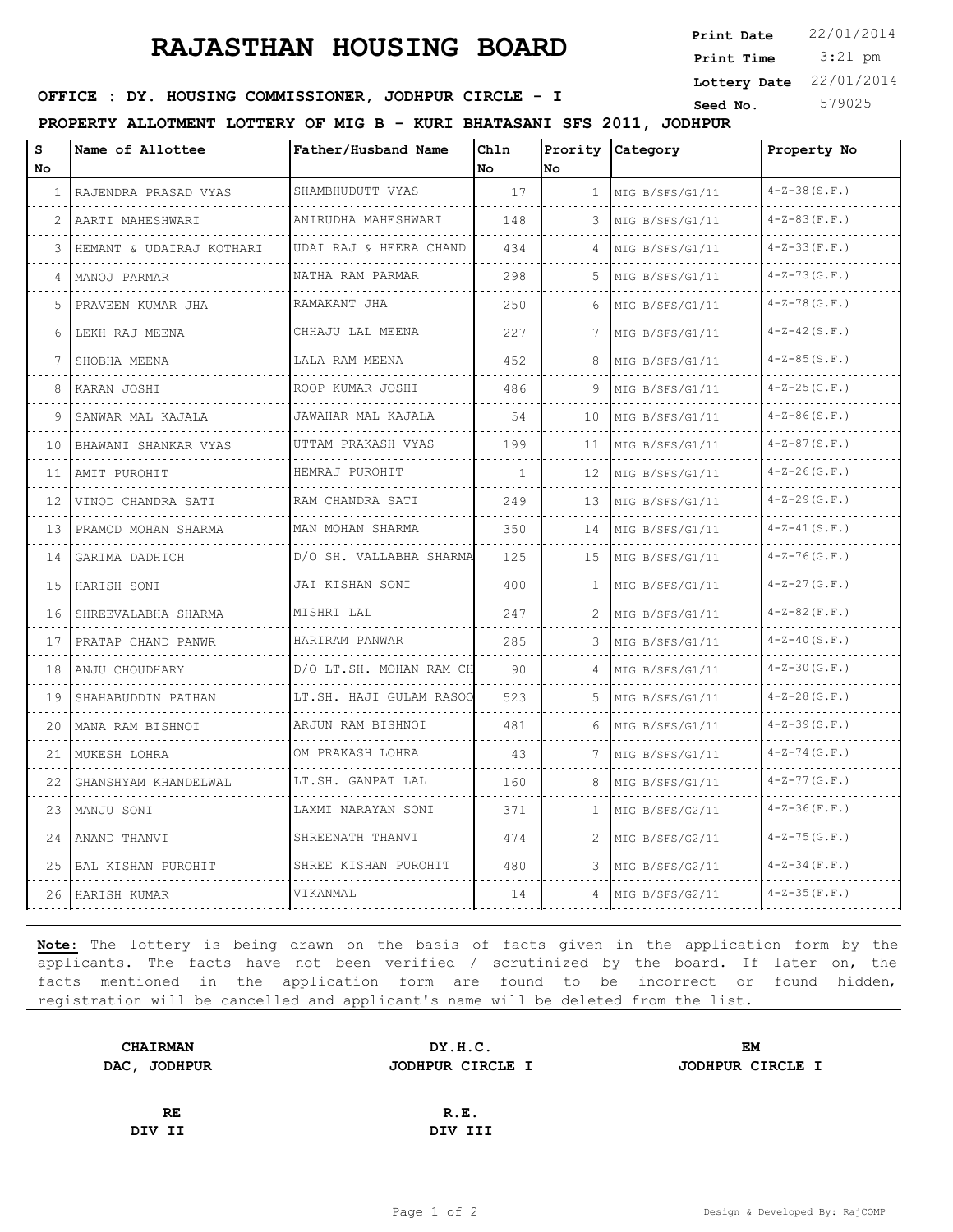## **RAJASTHAN HOUSING BOARD**

 3:21 pm **Print Date Print Time Lottery Date** 22/01/2014

**SEED IN SEED IN SEED ASSESSED ASSESSED ASSESSING COMMISSIONER, JODHPUR CIRCLE - I** 

**PROPERTY ALLOTMENT LOTTERY OF MIG B - KURI BHATASANI SFS 2011, JODHPUR**

| S<br>No. | Name of Allottee         | Father/Husband Name          | Chln<br>No   | Prority<br>lNo. | <b>Category</b>      | Property No         |
|----------|--------------------------|------------------------------|--------------|-----------------|----------------------|---------------------|
| 1        | RAJENDRA PRASAD VYAS     | SHAMBHUDUTT VYAS             | 17           | $\mathbf{1}$    | MIG B/SFS/G1/11      | $4 - Z - 38(S.F.)$  |
| 2        | AARTI MAHESHWARI         | ANIRUDHA MAHESHWARI<br>.     | 148          | 3               | MIG B/SFS/G1/11<br>. | $4 - Z - 83(F.F.)$  |
| 3        | HEMANT & UDAIRAJ KOTHARI | UDAI RAJ & HEERA CHAND       | 434          | 4               | MIG B/SFS/G1/11      | $4 - Z - 33 (F.F.)$ |
| 4        | MANOJ PARMAR             | NATHA RAM PARMAR             | 298          | 5               | MIG B/SFS/G1/11      | $4 - Z - 73 (G.F.)$ |
| 5        | PRAVEEN KUMAR JHA        | RAMAKANT JHA<br><u>.</u>     | 250          | 6               | MIG B/SFS/G1/11      | $4 - Z - 78$ (G.F.) |
| 6        | LEKH RAJ MEENA           | CHHAJU LAL MEENA             | 227          |                 | .<br>MIG B/SFS/G1/11 | $4 - Z - 42(S.F.)$  |
|          | SHOBHA MEENA             | LALA RAM MEENA<br>.          | 452          | 8               | MIG B/SFS/G1/11      | $4 - Z - 85 (S.F.)$ |
| 8        | KARAN JOSHI              | ROOP KUMAR JOSHI             | 486          | 9               | MIG B/SFS/G1/11      | $4 - Z - 25(G.F.)$  |
| 9        | SANWAR MAL KAJALA        | JAWAHAR MAL KAJALA           | 54           | 10              | MIG B/SFS/G1/11      | $4 - Z - 86(S.F.)$  |
| 10       | BHAWANI SHANKAR VYAS     | UTTAM PRAKASH VYAS<br>.      | 199          | 11              | MIG B/SFS/G1/11      | $4 - Z - 87(S.F.)$  |
| 11       | AMIT PUROHIT             | HEMRAJ PUROHIT<br><u>.</u>   | $\mathbf{1}$ | 12              | MIG B/SFS/G1/11      | $4 - Z - 26$ (G.F.) |
| 12       | VINOD CHANDRA SATI       | RAM CHANDRA SATI<br>.        | 249          | 13              | MIG B/SFS/G1/11      | $4 - Z - 29 (G.F.)$ |
| 13       | PRAMOD MOHAN SHARMA      | MAN MOHAN SHARMA<br>.        | 350          | 14              | MIG B/SFS/G1/11      | $4 - Z - 41$ (S.F.) |
| 14       | GARIMA DADHICH           | D/O SH. VALLABHA SHARMA      | 125          | 15              | MIG B/SFS/G1/11      | $4 - Z - 76$ (G.F.) |
| 15       | HARISH SONI              | JAI KISHAN SONI              | 400          | $\mathbf{1}$    | MIG B/SFS/G1/11      | $4 - Z - 27 (G.F.)$ |
| 16       | SHREEVALABHA SHARMA      | MISHRI LAL                   | 247          |                 | MIG B/SFS/G1/11      | $4 - Z - 82$ (F.F.) |
| 17       | PRATAP CHAND PANWR       | HARIRAM PANWAR               | 285          | 3               | MIG B/SFS/G1/11      | $4 - Z - 40(S.F.)$  |
| 18       | ANJU CHOUDHARY           | D/O LT.SH. MOHAN RAM CH      | 90           |                 | MIG B/SFS/G1/11      | $4 - Z - 30 (G.F.)$ |
| 19       | SHAHABUDDIN PATHAN       | LT.SH. HAJI GULAM RASOO<br>. | 523          | 5.              | MIG B/SFS/G1/11      | $4 - Z - 28$ (G.F.) |
| 20       | MANA RAM BISHNOI         | ARJUN RAM BISHNOI            | 481          | 6               | MIG B/SFS/G1/11      | $4 - Z - 39(S.F.)$  |
| 21       | MUKESH LOHRA             | OM PRAKASH LOHRA             | 43           |                 | MIG B/SFS/G1/11      | $4 - Z - 74$ (G.F.) |
| 22       | GHANSHYAM KHANDELWAL     | LT.SH. GANPAT LAL            | 160          | 8               | MIG B/SFS/G1/11      | $4 - Z - 77$ (G.F.) |
| 23       | MANJU SONI               | .<br>LAXMI NARAYAN SONI      | 371          | 1.              | MIG B/SFS/G2/11      | $4 - Z - 36(F.F.)$  |
| 24       | ANAND THANVI             | SHREENATH THANVI             | 474          | 2               | MIG B/SFS/G2/11      | $4 - Z - 75 (G.F.)$ |
| 25       | BAL KISHAN PUROHIT       | SHREE KISHAN PUROHIT         | 480          | 3               | MIG B/SFS/G2/11      | $4 - Z - 34$ (F.F.) |
| 26       | HARISH KUMAR             | VIKANMAL                     | 14           | 4               | MIG B/SFS/G2/11      | $4 - Z - 35 (F.F.)$ |

**Note:** The lottery is being drawn on the basis of facts given in the application form by the applicants. The facts have not been verified / scrutinized by the board. If later on, the facts mentioned in the application form are found to be incorrect or found hidden, registration will be cancelled and applicant's name will be deleted from the list.

| <b>CHAIRMAN</b> | DY.H.C.          | <b>EM</b>        |  |  |
|-----------------|------------------|------------------|--|--|
| DAC, JODHPUR    | JODHPUR CIRCLE I | JODHPUR CIRCLE I |  |  |
|                 |                  |                  |  |  |
| RE              | R.E.             |                  |  |  |
| DIV II          | DIV III          |                  |  |  |
|                 |                  |                  |  |  |